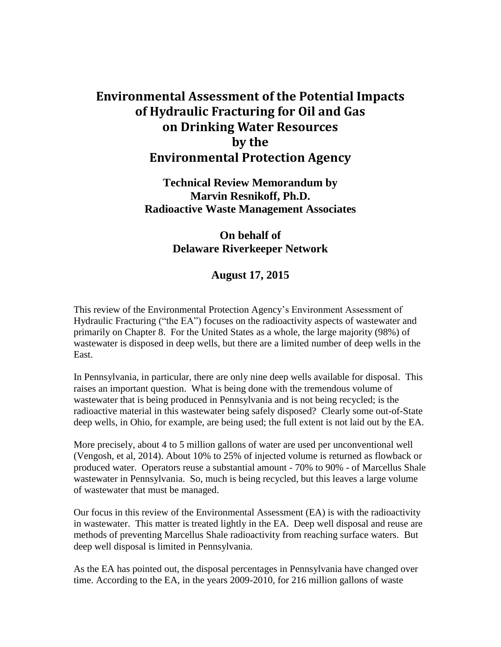## **Environmental Assessment of the Potential Impacts of Hydraulic Fracturing for Oil and Gas on Drinking Water Resources by the Environmental Protection Agency**

**Technical Review Memorandum by Marvin Resnikoff, Ph.D. Radioactive Waste Management Associates**

## **On behalf of Delaware Riverkeeper Network**

## **August 17, 2015**

This review of the Environmental Protection Agency's Environment Assessment of Hydraulic Fracturing ("the EA") focuses on the radioactivity aspects of wastewater and primarily on Chapter 8. For the United States as a whole, the large majority (98%) of wastewater is disposed in deep wells, but there are a limited number of deep wells in the East.

In Pennsylvania, in particular, there are only nine deep wells available for disposal. This raises an important question. What is being done with the tremendous volume of wastewater that is being produced in Pennsylvania and is not being recycled; is the radioactive material in this wastewater being safely disposed? Clearly some out-of-State deep wells, in Ohio, for example, are being used; the full extent is not laid out by the EA.

More precisely, about 4 to 5 million gallons of water are used per unconventional well (Vengosh, et al, 2014). About 10% to 25% of injected volume is returned as flowback or produced water. Operators reuse a substantial amount - 70% to 90% - of Marcellus Shale wastewater in Pennsylvania. So, much is being recycled, but this leaves a large volume of wastewater that must be managed.

Our focus in this review of the Environmental Assessment (EA) is with the radioactivity in wastewater. This matter is treated lightly in the EA. Deep well disposal and reuse are methods of preventing Marcellus Shale radioactivity from reaching surface waters. But deep well disposal is limited in Pennsylvania.

As the EA has pointed out, the disposal percentages in Pennsylvania have changed over time. According to the EA, in the years 2009-2010, for 216 million gallons of waste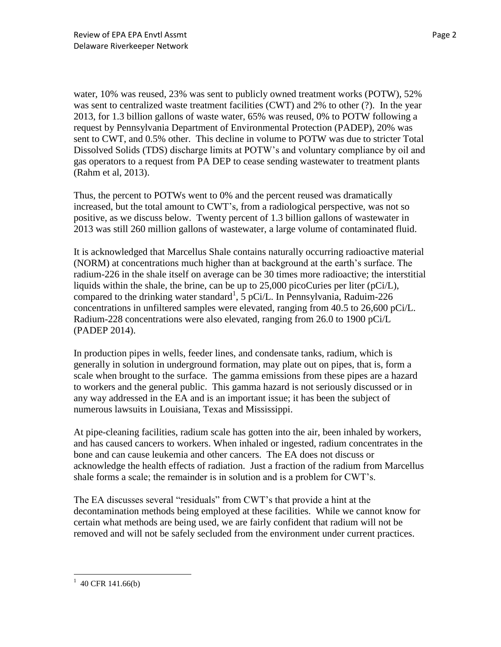water, 10% was reused, 23% was sent to publicly owned treatment works (POTW), 52% was sent to centralized waste treatment facilities (CWT) and 2% to other (?). In the year 2013, for 1.3 billion gallons of waste water, 65% was reused, 0% to POTW following a request by Pennsylvania Department of Environmental Protection (PADEP), 20% was sent to CWT, and 0.5% other. This decline in volume to POTW was due to stricter Total Dissolved Solids (TDS) discharge limits at POTW's and voluntary compliance by oil and gas operators to a request from PA DEP to cease sending wastewater to treatment plants (Rahm et al, 2013).

Thus, the percent to POTWs went to 0% and the percent reused was dramatically increased, but the total amount to CWT's, from a radiological perspective, was not so positive, as we discuss below. Twenty percent of 1.3 billion gallons of wastewater in 2013 was still 260 million gallons of wastewater, a large volume of contaminated fluid.

It is acknowledged that Marcellus Shale contains naturally occurring radioactive material (NORM) at concentrations much higher than at background at the earth's surface. The radium-226 in the shale itself on average can be 30 times more radioactive; the interstitial liquids within the shale, the brine, can be up to 25,000 picoCuries per liter (pCi/L), compared to the drinking water standard<sup>1</sup>,  $\frac{1}{5}$  pCi/L. In Pennsylvania, Raduim-226 concentrations in unfiltered samples were elevated, ranging from 40.5 to 26,600 pCi/L. Radium-228 concentrations were also elevated, ranging from 26.0 to 1900 pCi/L (PADEP 2014).

In production pipes in wells, feeder lines, and condensate tanks, radium, which is generally in solution in underground formation, may plate out on pipes, that is, form a scale when brought to the surface. The gamma emissions from these pipes are a hazard to workers and the general public. This gamma hazard is not seriously discussed or in any way addressed in the EA and is an important issue; it has been the subject of numerous lawsuits in Louisiana, Texas and Mississippi.

At pipe-cleaning facilities, radium scale has gotten into the air, been inhaled by workers, and has caused cancers to workers. When inhaled or ingested, radium concentrates in the bone and can cause leukemia and other cancers. The EA does not discuss or acknowledge the health effects of radiation. Just a fraction of the radium from Marcellus shale forms a scale; the remainder is in solution and is a problem for CWT's.

The EA discusses several "residuals" from CWT's that provide a hint at the decontamination methods being employed at these facilities. While we cannot know for certain what methods are being used, we are fairly confident that radium will not be removed and will not be safely secluded from the environment under current practices.

 $\overline{\phantom{a}}$ 

 $1\,$  40 CFR 141.66(b)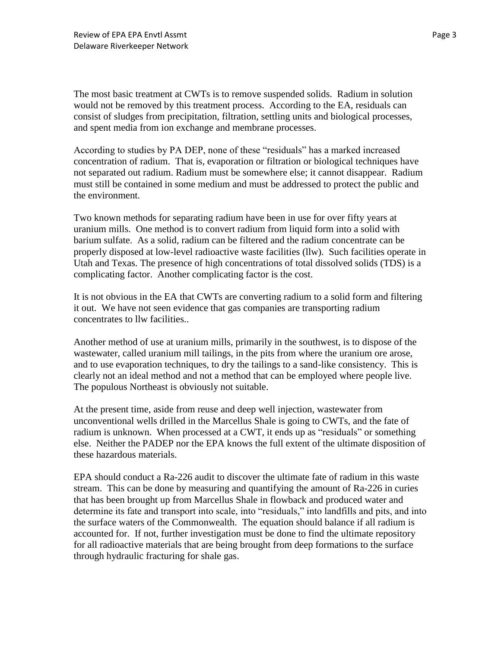The most basic treatment at CWTs is to remove suspended solids. Radium in solution would not be removed by this treatment process. According to the EA, residuals can consist of sludges from precipitation, filtration, settling units and biological processes, and spent media from ion exchange and membrane processes.

According to studies by PA DEP, none of these "residuals" has a marked increased concentration of radium. That is, evaporation or filtration or biological techniques have not separated out radium. Radium must be somewhere else; it cannot disappear. Radium must still be contained in some medium and must be addressed to protect the public and the environment.

Two known methods for separating radium have been in use for over fifty years at uranium mills. One method is to convert radium from liquid form into a solid with barium sulfate. As a solid, radium can be filtered and the radium concentrate can be properly disposed at low-level radioactive waste facilities (llw). Such facilities operate in Utah and Texas. The presence of high concentrations of total dissolved solids (TDS) is a complicating factor. Another complicating factor is the cost.

It is not obvious in the EA that CWTs are converting radium to a solid form and filtering it out. We have not seen evidence that gas companies are transporting radium concentrates to llw facilities..

Another method of use at uranium mills, primarily in the southwest, is to dispose of the wastewater, called uranium mill tailings, in the pits from where the uranium ore arose, and to use evaporation techniques, to dry the tailings to a sand-like consistency. This is clearly not an ideal method and not a method that can be employed where people live. The populous Northeast is obviously not suitable.

At the present time, aside from reuse and deep well injection, wastewater from unconventional wells drilled in the Marcellus Shale is going to CWTs, and the fate of radium is unknown. When processed at a CWT, it ends up as "residuals" or something else. Neither the PADEP nor the EPA knows the full extent of the ultimate disposition of these hazardous materials.

EPA should conduct a Ra-226 audit to discover the ultimate fate of radium in this waste stream. This can be done by measuring and quantifying the amount of Ra-226 in curies that has been brought up from Marcellus Shale in flowback and produced water and determine its fate and transport into scale, into "residuals," into landfills and pits, and into the surface waters of the Commonwealth. The equation should balance if all radium is accounted for. If not, further investigation must be done to find the ultimate repository for all radioactive materials that are being brought from deep formations to the surface through hydraulic fracturing for shale gas.